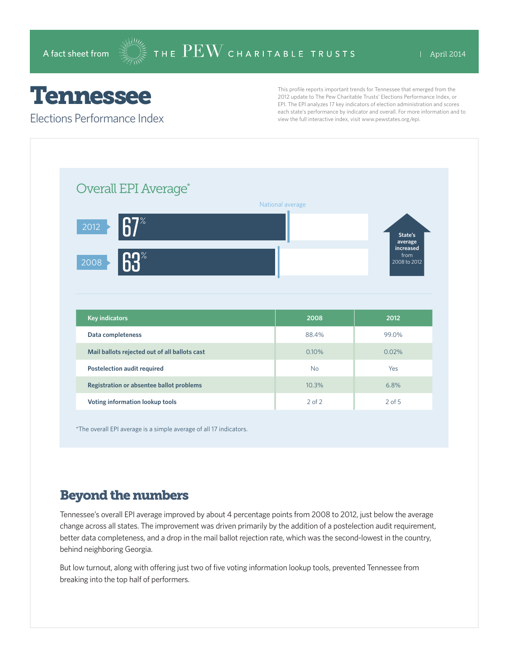## Tennessee

Elections Performance Index

This profile reports important trends for Tennessee that emerged from the 2012 update to The Pew Charitable Trusts' Elections Performance Index, or EPI. The EPI analyzes 17 key indicators of election administration and scores each state's performance by indicator and overall. For more information and to view the full interactive index, visit www.pewstates.org/epi.

| Overall EPI Average*                          |                  |                                   |
|-----------------------------------------------|------------------|-----------------------------------|
|                                               | National average |                                   |
| $67^\circ$<br>2012                            |                  | State's<br>average                |
| 63%<br>2008                                   |                  | increased<br>from<br>2008 to 2012 |
|                                               |                  |                                   |
|                                               |                  |                                   |
| <b>Key indicators</b>                         | 2008             | 2012                              |
| Data completeness                             | 88.4%            | 99.0%                             |
| Mail ballots rejected out of all ballots cast | 0.10%            | 0.02%                             |
| <b>Postelection audit required</b>            | <b>No</b>        | Yes                               |
| Registration or absentee ballot problems      | 10.3%            | 6.8%                              |

\*The overall EPI average is a simple average of all 17 indicators.

## Beyond the numbers

Tennessee's overall EPI average improved by about 4 percentage points from 2008 to 2012, just below the average change across all states. The improvement was driven primarily by the addition of a postelection audit requirement, better data completeness, and a drop in the mail ballot rejection rate, which was the second-lowest in the country, behind neighboring Georgia.

But low turnout, along with offering just two of five voting information lookup tools, prevented Tennessee from breaking into the top half of performers.